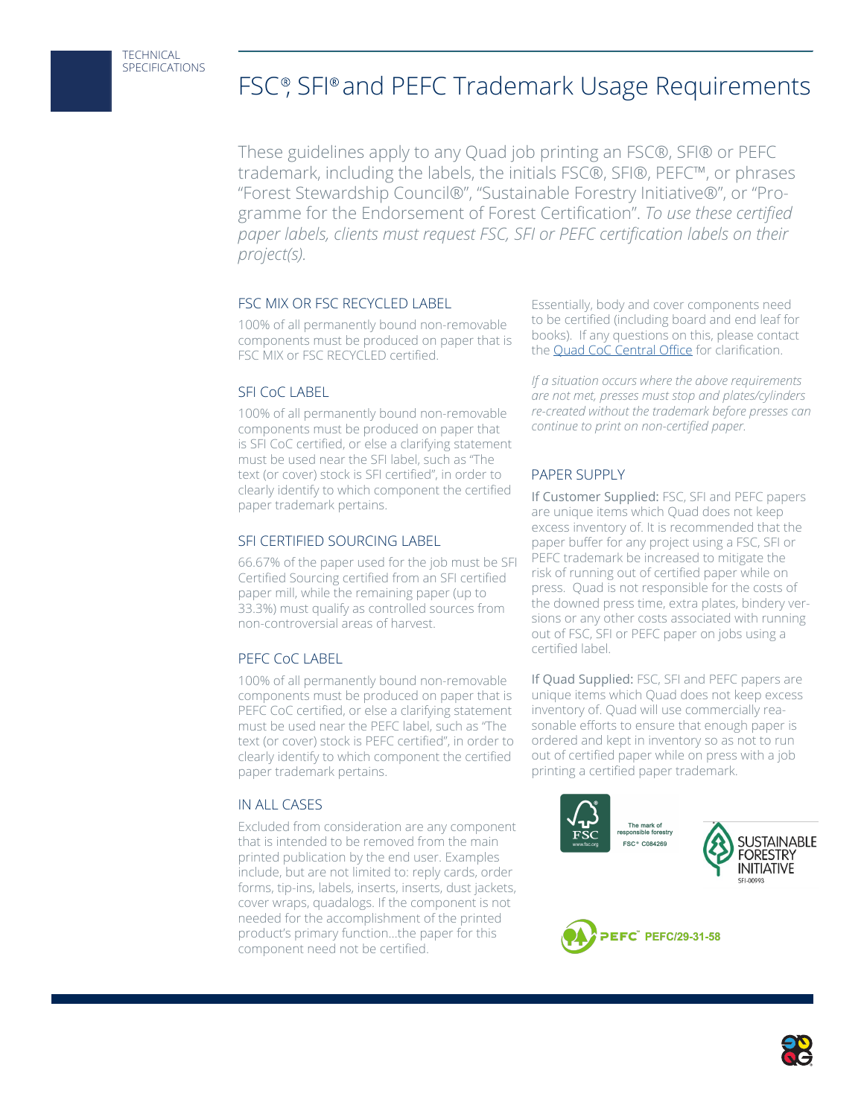# FSC®, SFI® and PEFC Trademark Usage Requirements

These guidelines apply to any Quad job printing an FSC®, SFI® or PEFC trademark, including the labels, the initials FSC®, SFI®, PEFC™, or phrases "Forest Stewardship Council®", "Sustainable Forestry Initiative®", or "Programme for the Endorsement of Forest Certification". *To use these certified paper labels, clients must request FSC, SFI or PEFC certification labels on their project(s).*

## FSC MIX OR FSC RECYCLED LABEL

100% of all permanently bound non-removable components must be produced on paper that is FSC MIX or FSC RECYCLED certified.

## SFI CoC LABEL

100% of all permanently bound non-removable components must be produced on paper that is SFI CoC certified, or else a clarifying statement must be used near the SFI label, such as "The text (or cover) stock is SFI certified", in order to clearly identify to which component the certified paper trademark pertains.

## SFI CERTIFIED SOURCING LABEL

66.67% of the paper used for the job must be SFI Certified Sourcing certified from an SFI certified paper mill, while the remaining paper (up to 33.3%) must qualify as controlled sources from non-controversial areas of harvest.

## PEFC CoC LABEL

100% of all permanently bound non-removable components must be produced on paper that is PEFC CoC certified, or else a clarifying statement must be used near the PEFC label, such as "The text (or cover) stock is PEFC certified", in order to clearly identify to which component the certified paper trademark pertains.

#### IN ALL CASES

Excluded from consideration are any component that is intended to be removed from the main printed publication by the end user. Examples include, but are not limited to: reply cards, order forms, tip-ins, labels, inserts, inserts, dust jackets, cover wraps, quadalogs. If the component is not needed for the accomplishment of the printed product's primary function…the paper for this component need not be certified.

Essentially, body and cover components need to be certified (including board and end leaf for books). If any questions on this, please contact the [Quad CoC Central Office](mailto:QuadPaperServices%40quad.com?subject=Question%20about%20Certified%20Paper%20Labeling) for clarification.

*If a situation occurs where the above requirements are not met, presses must stop and plates/cylinders re-created without the trademark before presses can continue to print on non-certified paper.* 

## PAPER SUPPLY

If Customer Supplied: FSC, SFI and PEFC papers are unique items which Quad does not keep excess inventory of. It is recommended that the paper buffer for any project using a FSC, SFI or PEFC trademark be increased to mitigate the risk of running out of certified paper while on press. Quad is not responsible for the costs of the downed press time, extra plates, bindery versions or any other costs associated with running out of FSC, SFI or PEFC paper on jobs using a certified label.

If Quad Supplied: FSC, SFI and PEFC papers are unique items which Quad does not keep excess inventory of. Quad will use commercially reasonable efforts to ensure that enough paper is ordered and kept in inventory so as not to run out of certified paper while on press with a job printing a certified paper trademark.